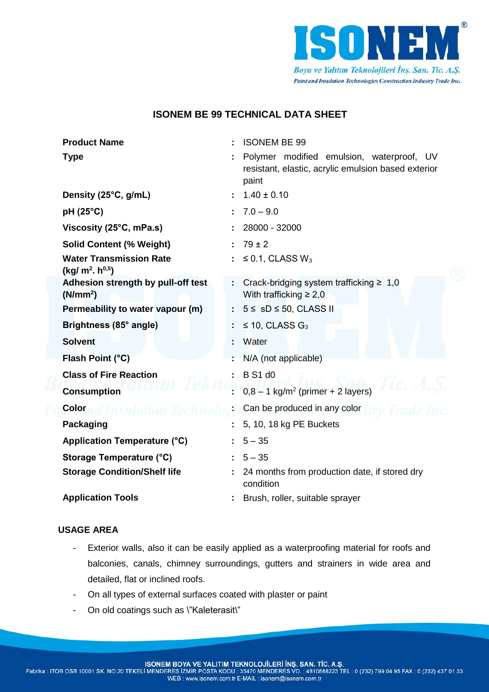

# **ISONEM BE 99 TECHNICAL DATA SHEET**

| <b>Product Name</b>                                        | <b>ISONEM BE 99</b>                                                                                       |
|------------------------------------------------------------|-----------------------------------------------------------------------------------------------------------|
| <b>Type</b>                                                | Polymer modified emulsion, waterproof, UV<br>resistant, elastic, acrylic emulsion based exterior<br>paint |
| Density (25°C, g/mL)                                       | $1.40 \pm 0.10$                                                                                           |
| pH (25°C)                                                  | $7.0 - 9.0$                                                                                               |
| Viscosity (25°C, mPa.s)                                    | 28000 - 32000                                                                                             |
| <b>Solid Content (% Weight)</b>                            | $79 \pm 2$                                                                                                |
| <b>Water Transmission Rate</b><br>$(kg/m2h^{0,5})$         | $\leq$ 0.1, CLASS W <sub>3</sub>                                                                          |
| Adhesion strength by pull-off test<br>(N/mm <sup>2</sup> ) | Crack-bridging system trafficking $\geq 1,0$<br>With trafficking $\geq 2.0$                               |
| Permeability to water vapour (m)                           | $5 \leq$ sD $\leq$ 50, CLASS II                                                                           |
| Brightness (85° angle)                                     | $\leq$ 10, CLASS G <sub>3</sub>                                                                           |
| <b>Solvent</b>                                             | Water                                                                                                     |
| Flash Point (°C)                                           | N/A (not applicable)                                                                                      |
| <b>Class of Fire Reaction</b>                              | <b>B</b> S1 d0                                                                                            |
| <b>Consumption</b>                                         | $0,8 - 1$ kg/m <sup>2</sup> (primer + 2 layers)                                                           |
| Color                                                      | Can be produced in any color                                                                              |
| <b>Packaging</b>                                           | 5, 10, 18 kg PE Buckets                                                                                   |
| Application Temperature (°C)                               | $5 - 35$                                                                                                  |
| Storage Temperature (°C)                                   | $5 - 35$                                                                                                  |
| <b>Storage Condition/Shelf life</b>                        | 24 months from production date, if stored dry<br>condition                                                |
| <b>Application Tools</b>                                   | Brush, roller, suitable sprayer                                                                           |

## **USAGE AREA**

- Exterior walls, also it can be easily applied as a waterproofing material for roofs and balconies, canals, chimney surroundings, gutters and strainers in wide area and detailed, flat or inclined roofs.
- On all types of external surfaces coated with plaster or paint
- On old coatings such as \"Kaleterasit\"